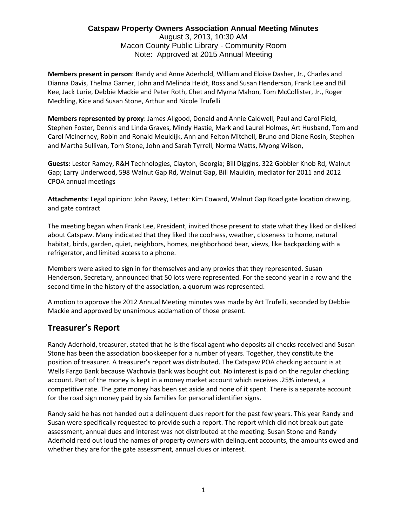#### **Catspaw Property Owners Association Annual Meeting Minutes** August 3, 2013, 10:30 AM

Macon County Public Library - Community Room Note: Approved at 2015 Annual Meeting

**Members present in person**: Randy and Anne Aderhold, William and Eloise Dasher, Jr., Charles and Dianna Davis, Thelma Garner, John and Melinda Heidt, Ross and Susan Henderson, Frank Lee and Bill Kee, Jack Lurie, Debbie Mackie and Peter Roth, Chet and Myrna Mahon, Tom McCollister, Jr., Roger Mechling, Kice and Susan Stone, Arthur and Nicole Trufelli

**Members represented by proxy**: James Allgood, Donald and Annie Caldwell, Paul and Carol Field, Stephen Foster, Dennis and Linda Graves, Mindy Hastie, Mark and Laurel Holmes, Art Husband, Tom and Carol McInerney, Robin and Ronald Meuldijk, Ann and Felton Mitchell, Bruno and Diane Rosin, Stephen and Martha Sullivan, Tom Stone, John and Sarah Tyrrell, Norma Watts, Myong Wilson,

**Guests:** Lester Ramey, R&H Technologies, Clayton, Georgia; Bill Diggins, 322 Gobbler Knob Rd, Walnut Gap; Larry Underwood, 598 Walnut Gap Rd, Walnut Gap, Bill Mauldin, mediator for 2011 and 2012 CPOA annual meetings

**Attachments**: Legal opinion: John Pavey, Letter: Kim Coward, Walnut Gap Road gate location drawing, and gate contract

The meeting began when Frank Lee, President, invited those present to state what they liked or disliked about Catspaw. Many indicated that they liked the coolness, weather, closeness to home, natural habitat, birds, garden, quiet, neighbors, homes, neighborhood bear, views, like backpacking with a refrigerator, and limited access to a phone.

Members were asked to sign in for themselves and any proxies that they represented. Susan Henderson, Secretary, announced that 50 lots were represented. For the second year in a row and the second time in the history of the association, a quorum was represented.

A motion to approve the 2012 Annual Meeting minutes was made by Art Trufelli, seconded by Debbie Mackie and approved by unanimous acclamation of those present.

# **Treasurer's Report**

Randy Aderhold, treasurer, stated that he is the fiscal agent who deposits all checks received and Susan Stone has been the association bookkeeper for a number of years. Together, they constitute the position of treasurer. A treasurer's report was distributed. The Catspaw POA checking account is at Wells Fargo Bank because Wachovia Bank was bought out. No interest is paid on the regular checking account. Part of the money is kept in a money market account which receives .25% interest, a competitive rate. The gate money has been set aside and none of it spent. There is a separate account for the road sign money paid by six families for personal identifier signs.

Randy said he has not handed out a delinquent dues report for the past few years. This year Randy and Susan were specifically requested to provide such a report. The report which did not break out gate assessment, annual dues and interest was not distributed at the meeting. Susan Stone and Randy Aderhold read out loud the names of property owners with delinquent accounts, the amounts owed and whether they are for the gate assessment, annual dues or interest.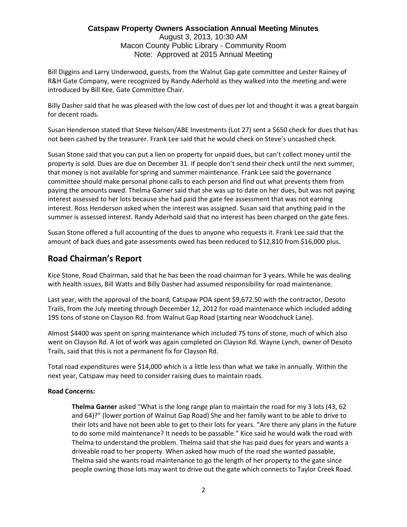August 3, 2013, 10:30 AM Macon County Public Library - Community Room Note: Approved at 2015 Annual Meeting

Bill Diggins and Larry Underwood, guests, from the Walnut Gap gate committee and Lester Rainey of R&H Gate Company, were recognized by Randy Aderhold as they walked into the meeting and were introduced by Bill Kee, Gate Committee Chair.

Billy Dasher said that he was pleased with the low cost of dues per lot and thought it was a great bargain for decent roads.

Susan Henderson stated that Steve Nelson/ABE Investments (Lot 27) sent a \$650 check for dues that has not been cashed by the treasurer. Frank Lee said that he would check on Steve's uncashed check.

Susan Stone said that you can put a lien on property for unpaid dues, but can't collect money until the property is sold. Dues are due on December 31. If people don't send their check until the next summer, that money is not available for spring and summer maintenance. Frank Lee said the governance committee should make personal phone calls to each person and find out what prevents them from paying the amounts owed. Thelma Garner said that she was up to date on her dues, but was not paying interest assessed to her lots because she had paid the gate fee assessment that was not earning interest. Ross Henderson asked when the interest was assigned. Susan said that anything paid in the summer is assessed interest. Randy Aderhold said that no interest has been charged on the gate fees.

Susan Stone offered a full accounting of the dues to anyone who requests it. Frank Lee said that the amount of back dues and gate assessments owed has been reduced to \$12,810 from \$16,000 plus.

# **Road Chairman's Report**

Kice Stone, Road Chairman, said that he has been the road chairman for 3 years. While he was dealing with health issues, Bill Watts and Billy Dasher had assumed responsibility for road maintenance.

Last year, with the approval of the board, Catspaw POA spent \$9,672.50 with the contractor, Desoto Trails, from the July meeting through December 12, 2012 for road maintenance which included adding 195 tons of stone on Clayson Rd. from Walnut Gap Road (starting near Woodchuck Lane).

Almost \$4400 was spent on spring maintenance which included 75 tons of stone, much of which also went on Clayson Rd. A lot of work was again completed on Clayson Rd. Wayne Lynch, owner of Desoto Trails, said that this is not a permanent fix for Clayson Rd.

Total road expenditures were \$14,000 which is a little less than what we take in annually. Within the next year, Catspaw may need to consider raising dues to maintain roads.

### **Road Concerns:**

**Thelma Garner** asked "What is the long range plan to maintain the road for my 3 lots (43, 62 and 64)?" (lower portion of Walnut Gap Road) She and her family want to be able to drive to their lots and have not been able to get to their lots for years. "Are there any plans in the future to do some mild maintenance? It needs to be passable." Kice said he would walk the road with Thelma to understand the problem. Thelma said that she has paid dues for years and wants a driveable road to her property. When asked how much of the road she wanted passable, Thelma said she wants road maintenance to go the length of her property to the gate since people owning those lots may want to drive out the gate which connects to Taylor Creek Road.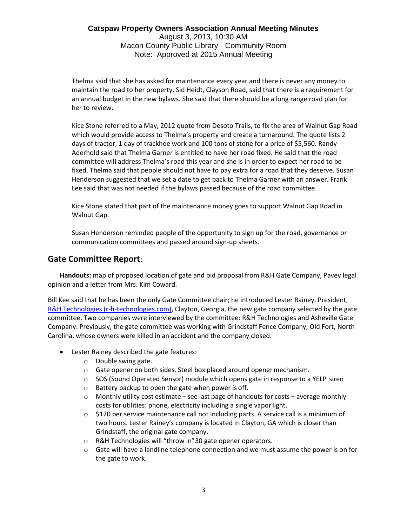### **Catspaw Property Owners Association Annual Meeting Minutes** August 3, 2013, 10:30 AM Macon County Public Library - Community Room Note: Approved at 2015 Annual Meeting

Thelma said that she has asked for maintenance every year and there is never any money to maintain the road to her property. Sid Heidt, Clayson Road, said that there is a requirement for an annual budget in the new bylaws. She said that there should be a long range road plan for her to review.

Kice Stone referred to a May, 2012 quote from Desoto Trails, to fix the area of Walnut Gap Road which would provide access to Thelma's property and create a turnaround. The quote lists 2 days of tractor, 1 day of trackhoe work and 100 tons of stone for a price of \$5,560. Randy Aderhold said that Thelma Garner is entitled to have her road fixed. He said that the road committee will address Thelma's road this year and she is in order to expect her road to be fixed. Thelma said that people should not have to pay extra for a road that they deserve. Susan Henderson suggested that we set a date to get back to Thelma Garner with an answer. Frank Lee said that was not needed if the bylaws passed because of the road committee.

Kice Stone stated that part of the maintenance money goes to support Walnut Gap Road in Walnut Gap.

Susan Henderson reminded people of the opportunity to sign up for the road, governance or communication committees and passed around sign-up sheets.

# **Gate Committee Report:**

**Handouts:** map of proposed location of gate and bid proposal from R&H Gate Company, Pavey legal opinion and a letter from Mrs. Kim Coward.

Bill Kee said that he has been the only Gate Committee chair; he introduced Lester Rainey, President, [R&H Technologies \(](http://www.r-h-technologies.com/)r-h-technologies.com), Clayton, Georgia, the new gate company selected by the gate committee. Two companies were interviewed by the committee: R&H Technologies and Asheville Gate Company. Previously, the gate committee was working with Grindstaff Fence Company, Old Fort, North Carolina, whose owners were killed in an accident and the company closed.

- Lester Rainey described the gate features:
	- o Double swing gate.
	- o Gate opener on both sides. Steel box placed around openermechanism.
	- $\circ$  SOS (Sound Operated Sensor) module which opens gate in response to a YELP siren
	- o Battery backup to open the gate when power is off.
	- $\circ$  Monthly utility cost estimate see last page of handouts for costs + average monthly costs for utilities: phone, electricity including a single vapor light.
	- $\circ$  \$170 per service maintenance call not including parts. A service call is a minimum of two hours. Lester Rainey's company is located in Clayton, GA which is closer than Grindstaff, the original gate company.
	- o R&H Technologies will "throw in"30 gate opener operators.
	- $\circ$  Gate will have a landline telephone connection and we must assume the power is on for the gate to work.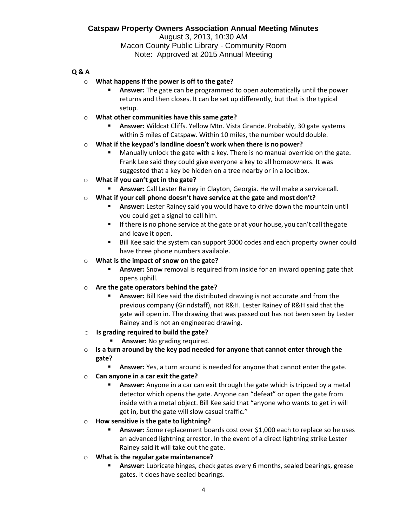August 3, 2013, 10:30 AM Macon County Public Library - Community Room Note: Approved at 2015 Annual Meeting

### **Q & A**

- o **What happens if the power is off to the gate?**
	- Answer: The gate can be programmed to open automatically until the power returns and then closes. It can be set up differently, but that is the typical setup.
- o **What other communities have this same gate?**
	- Answer: Wildcat Cliffs. Yellow Mtn. Vista Grande. Probably, 30 gate systems within 5 miles of Catspaw. Within 10 miles, the number would double.
- o **What if the keypad's landline doesn't work when there is no power?**
	- Manually unlock the gate with a key. There is no manual override on the gate. Frank Lee said they could give everyone a key to all homeowners. It was suggested that a key be hidden on a tree nearby or in a lockbox.
- o **What if you can't get in the gate?**
	- **E** Answer: Call Lester Rainey in Clayton, Georgia. He will make a service call.
- o **What if your cell phone doesn't have service at the gate and most don't?**
	- **E** Answer: Lester Rainey said you would have to drive down the mountain until you could get a signal to call him.
	- **E** If there is no phone service at the gate or at your house, you can't call the gate and leave it open.
	- Bill Kee said the system can support 3000 codes and each property owner could have three phone numbers available.
- o **What is the impact of snow on the gate?**
	- **EXTER 15 Answer:** Snow removal is required from inside for an inward opening gate that opens uphill.
- o **Are the gate operators behind the gate?**
	- Answer: Bill Kee said the distributed drawing is not accurate and from the previous company (Grindstaff), not R&H. Lester Rainey of R&H said that the gate will open in. The drawing that was passed out has not been seen by Lester Rainey and is not an engineered drawing.
- o **Is grading required to build the gate?**
	- **E** Answer: No grading required.
- o **Is a turn around by the key pad needed for anyone that cannot enter through the gate?**
	- **EXED Answer:** Yes, a turn around is needed for anyone that cannot enter the gate.
- o **Can anyone in a car exit the gate?**
	- Answer: Anyone in a car can exit through the gate which is tripped by a metal detector which opens the gate. Anyone can "defeat" or open the gate from inside with a metal object. Bill Kee said that "anyone who wants to get in will get in, but the gate will slow casual traffic."
- o **How sensitive is the gate to lightning?**
	- Answer: Some replacement boards cost over \$1,000 each to replace so he uses an advanced lightning arrestor. In the event of a direct lightning strike Lester Rainey said it will take out the gate.
- o **What is the regular gate maintenance?**
	- Answer: Lubricate hinges, check gates every 6 months, sealed bearings, grease gates. It does have sealed bearings.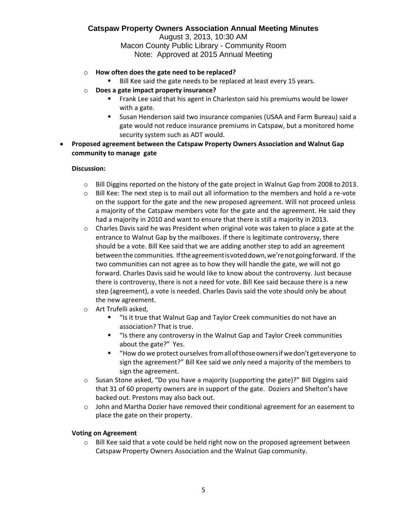August 3, 2013, 10:30 AM Macon County Public Library - Community Room Note: Approved at 2015 Annual Meeting

- o **How often does the gate need to be replaced?**
	- Bill Kee said the gate needs to be replaced at least every 15 years.
- o **Does a gate impact property insurance?**
	- Frank Lee said that his agent in Charleston said his premiums would be lower with a gate.
	- Susan Henderson said two insurance companies (USAA and Farm Bureau) said a gate would not reduce insurance premiums in Catspaw, but a monitored home security system such as ADT would.
- **Proposed agreement between the Catspaw Property Owners Association and Walnut Gap community to manage gate**

#### **Discussion:**

- o Bill Diggins reported on the history of the gate project in Walnut Gap from 2008 to 2013.
- $\circ$  Bill Kee: The next step is to mail out all information to the members and hold a re-vote on the support for the gate and the new proposed agreement. Will not proceed unless a majority of the Catspaw members vote for the gate and the agreement. He said they had a majority in 2010 and want to ensure that there is still a majority in 2013.
- $\circ$  Charles Davis said he was President when original vote was taken to place a gate at the entrance to Walnut Gap by the mailboxes. If there is legitimate controversy, there should be a vote. Bill Kee said that we are adding another step to add an agreement between the communities. Iftheagreementisvoteddown,we'renotgoingforward. If the two communities can not agree as to how they will handle the gate, we will not go forward. Charles Davis said he would like to know about the controversy. Just because there is controversy, there is not a need for vote. Bill Kee said because there is a new step (agreement), a vote is needed. Charles Davis said the vote should only be about the new agreement.
- o Art Trufelli asked,
	- "Is it true that Walnut Gap and Taylor Creek communities do not have an association? That is true.
	- "Is there any controversy in the Walnut Gap and Taylor Creek communities about the gate?" Yes.
	- "How do we protect ourselves from all of those owners if we don't get everyone to sign the agreement?" Bill Kee said we only need a majority of the members to sign the agreement.
- $\circ$  Susan Stone asked, "Do you have a majority (supporting the gate)?" Bill Diggins said that 31 of 60 property owners are in support of the gate. Doziers and Shelton's have backed out. Prestons may also back out.
- $\circ$  John and Martha Dozier have removed their conditional agreement for an easement to place the gate on their property.

#### **Voting on Agreement**

 $\circ$  Bill Kee said that a vote could be held right now on the proposed agreement between Catspaw Property Owners Association and the Walnut Gap community.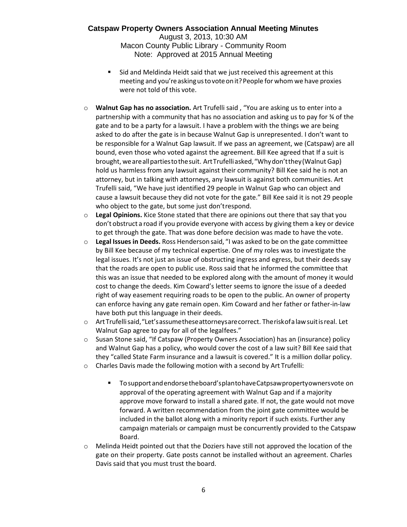#### **Catspaw Property Owners Association Annual Meeting Minutes** August 3, 2013, 10:30 AM

Macon County Public Library - Community Room Note: Approved at 2015 Annual Meeting

- Sid and Meldinda Heidt said that we just received this agreement at this meeting and you're asking us to vote on it? People for whom we have proxies were not told of this vote.
- o **Walnut Gap has no association.** Art Trufelli said , "You are asking us to enter into a partnership with a community that has no association and asking us to pay for ¾ of the gate and to be a party for a lawsuit. I have a problem with the things we are being asked to do after the gate is in because Walnut Gap is unrepresented. I don't want to be responsible for a Walnut Gap lawsuit. If we pass an agreement, we (Catspaw) are all bound, even those who voted against the agreement. Bill Kee agreed that If a suit is brought, weareallpartiestothesuit. ArtTrufelliasked,"Whydon'tthey(WalnutGap) hold us harmless from any lawsuit against their community? Bill Kee said he is not an attorney, but in talking with attorneys, any lawsuit is against both communities. Art Trufelli said, "We have just identified 29 people in Walnut Gap who can object and cause a lawsuit because they did not vote for the gate." Bill Kee said it is not 29 people who object to the gate, but some just don'trespond.
- o **Legal Opinions.** Kice Stone stated that there are opinions out there that say that you don't obstruct a road if you provide everyone with access by giving them a key or device to get through the gate. That was done before decision was made to have the vote.
- o **Legal Issues in Deeds.** Ross Hendersonsaid, "I was asked to be on the gate committee by Bill Kee because of my technical expertise. One of my roles was to investigate the legal issues. It's not just an issue of obstructing ingress and egress, but their deeds say that the roads are open to public use. Ross said that he informed the committee that this was an issue that needed to be explored along with the amount of money it would cost to change the deeds. Kim Coward's letter seems to ignore the issue of a deeded right of way easement requiring roads to be open to the public. An owner of property can enforce having any gate remain open. Kim Coward and her father or father-in-law have both put this language in their deeds.
- o ArtTrufellisaid,"Let'sassumetheseattorneysarecorrect. Theriskofalawsuitisreal. Let Walnut Gap agree to pay for all of the legalfees."
- o Susan Stone said, "If Catspaw (Property Owners Association) has an (insurance) policy and Walnut Gap has a policy, who would cover the cost of a law suit? Bill Kee said that they "called State Farm insurance and a lawsuit is covered." It is a million dollar policy.
- o Charles Davis made the following motion with a second by Art Trufelli:
	- To support and endorse the board's planto have Catpsaw propertyowners vote on approval of the operating agreement with Walnut Gap and if a majority approve move forward to install a shared gate. If not, the gate would not move forward. A written recommendation from the joint gate committee would be included in the ballot along with a minority report if such exists. Further any campaign materials or campaign must be concurrently provided to the Catspaw Board.
- $\circ$  Melinda Heidt pointed out that the Doziers have still not approved the location of the gate on their property. Gate posts cannot be installed without an agreement. Charles Davis said that you must trust the board.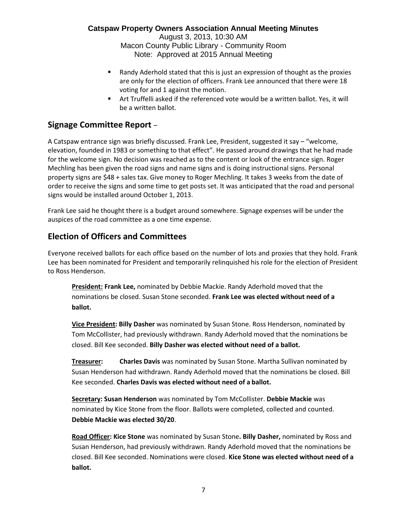August 3, 2013, 10:30 AM Macon County Public Library - Community Room Note: Approved at 2015 Annual Meeting

- Randy Aderhold stated that this is just an expression of thought as the proxies are only for the election of officers. Frank Lee announced that there were 18 voting for and 1 against the motion.
- Art Truffelli asked if the referenced vote would be a written ballot. Yes, it will be a written ballot.

# **Signage Committee Report** –

A Catspaw entrance sign was briefly discussed. Frank Lee, President, suggested it say – "welcome, elevation, founded in 1983 or something to that effect". He passed around drawings that he had made for the welcome sign. No decision was reached as to the content or look of the entrance sign. Roger Mechling has been given the road signs and name signs and is doing instructional signs. Personal property signs are \$48 + sales tax. Give money to Roger Mechling. It takes 3 weeks from the date of order to receive the signs and some time to get posts set. It was anticipated that the road and personal signs would be installed around October 1, 2013.

Frank Lee said he thought there is a budget around somewhere. Signage expenses will be under the auspices of the road committee as a one time expense.

# **Election of Officers and Committees**

Everyone received ballots for each office based on the number of lots and proxies that they hold. Frank Lee has been nominated for President and temporarily relinquished his role for the election of President to Ross Henderson.

**President: Frank Lee,** nominated by Debbie Mackie. Randy Aderhold moved that the nominations be closed. Susan Stone seconded. **Frank Lee was elected without need of a ballot.**

**Vice President: Billy Dasher** was nominated by Susan Stone. Ross Henderson, nominated by Tom McCollister, had previously withdrawn. Randy Aderhold moved that the nominations be closed. Bill Kee seconded. **Billy Dasher was elected without need of a ballot.**

**Treasurer: Charles Davis** was nominated by Susan Stone. Martha Sullivan nominated by Susan Henderson had withdrawn. Randy Aderhold moved that the nominations be closed. Bill Kee seconded. **Charles Davis was elected without need of a ballot.**

**Secretary: Susan Henderson** was nominated by Tom McCollister. **Debbie Mackie** was nominated by Kice Stone from the floor. Ballots were completed, collected and counted. **Debbie Mackie was elected 30/20**.

**Road Officer: Kice Stone** was nominated by Susan Stone**. Billy Dasher,** nominated by Ross and Susan Henderson, had previously withdrawn. Randy Aderhold moved that the nominations be closed. Bill Kee seconded. Nominations were closed. **Kice Stone was elected without need of a ballot.**